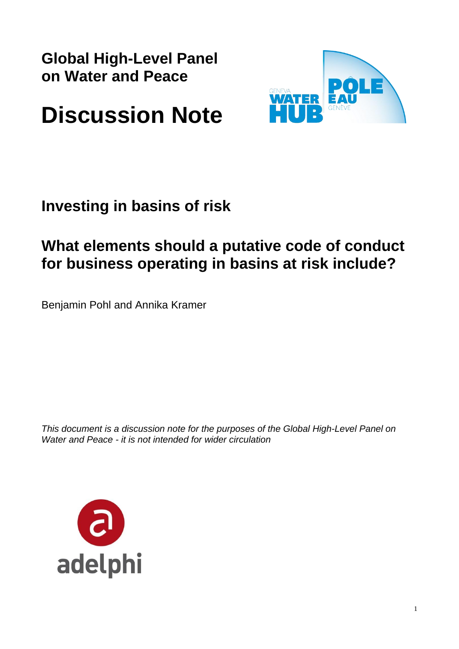**Global High-Level Panel on Water and Peace** 



# **Discussion Note**

# **Investing in basins of risk**

## **What elements should a putative code of conduct for business operating in basins at risk include?**

Benjamin Pohl and Annika Kramer

*This document is a discussion note for the purposes of the Global High-Level Panel on Water and Peace - it is not intended for wider circulation*

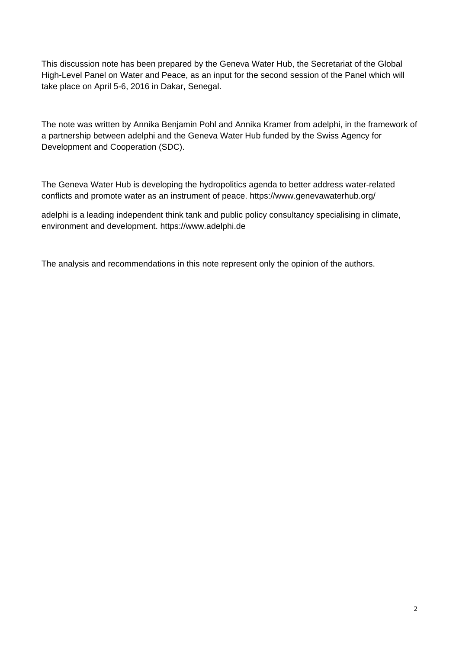This discussion note has been prepared by the Geneva Water Hub, the Secretariat of the Global High-Level Panel on Water and Peace, as an input for the second session of the Panel which will take place on April 5-6, 2016 in Dakar, Senegal.

The note was written by Annika Benjamin Pohl and Annika Kramer from adelphi, in the framework of a partnership between adelphi and the Geneva Water Hub funded by the Swiss Agency for Development and Cooperation (SDC).

The Geneva Water Hub is developing the hydropolitics agenda to better address water-related conflicts and promote water as an instrument of peace. https://www.genevawaterhub.org/

adelphi is a leading independent think tank and public policy consultancy specialising in climate, environment and development. https://www.adelphi.de

The analysis and recommendations in this note represent only the opinion of the authors.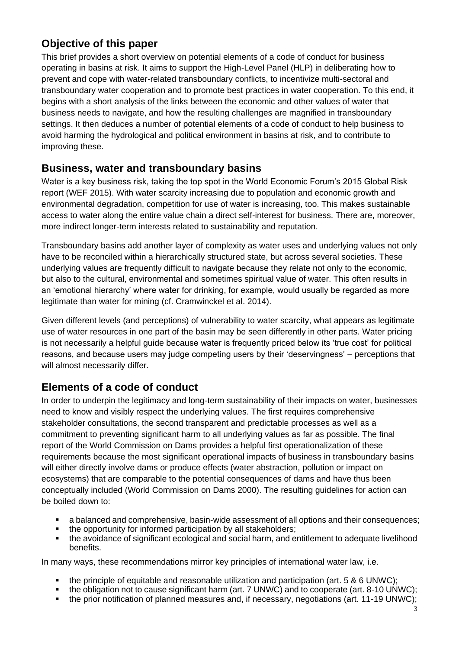### **Objective of this paper**

This brief provides a short overview on potential elements of a code of conduct for business operating in basins at risk. It aims to support the High-Level Panel (HLP) in deliberating how to prevent and cope with water-related transboundary conflicts, to incentivize multi-sectoral and transboundary water cooperation and to promote best practices in water cooperation. To this end, it begins with a short analysis of the links between the economic and other values of water that business needs to navigate, and how the resulting challenges are magnified in transboundary settings. It then deduces a number of potential elements of a code of conduct to help business to avoid harming the hydrological and political environment in basins at risk, and to contribute to improving these.

#### **Business, water and transboundary basins**

Water is a key business risk, taking the top spot in the World Economic Forum's 2015 Global Risk report (WEF 2015). With water scarcity increasing due to population and economic growth and environmental degradation, competition for use of water is increasing, too. This makes sustainable access to water along the entire value chain a direct self-interest for business. There are, moreover, more indirect longer-term interests related to sustainability and reputation.

Transboundary basins add another layer of complexity as water uses and underlying values not only have to be reconciled within a hierarchically structured state, but across several societies. These underlying values are frequently difficult to navigate because they relate not only to the economic, but also to the cultural, environmental and sometimes spiritual value of water. This often results in an 'emotional hierarchy' where water for drinking, for example, would usually be regarded as more legitimate than water for mining (cf. Cramwinckel et al. 2014).

Given different levels (and perceptions) of vulnerability to water scarcity, what appears as legitimate use of water resources in one part of the basin may be seen differently in other parts. Water pricing is not necessarily a helpful guide because water is frequently priced below its 'true cost' for political reasons, and because users may judge competing users by their 'deservingness' – perceptions that will almost necessarily differ.

### **Elements of a code of conduct**

In order to underpin the legitimacy and long-term sustainability of their impacts on water, businesses need to know and visibly respect the underlying values. The first requires comprehensive stakeholder consultations, the second transparent and predictable processes as well as a commitment to preventing significant harm to all underlying values as far as possible. The final report of the World Commission on Dams provides a helpful first operationalization of these requirements because the most significant operational impacts of business in transboundary basins will either directly involve dams or produce effects (water abstraction, pollution or impact on ecosystems) that are comparable to the potential consequences of dams and have thus been conceptually included (World Commission on Dams 2000). The resulting guidelines for action can be boiled down to:

- a balanced and comprehensive, basin-wide assessment of all options and their consequences;
- the opportunity for informed participation by all stakeholders;
- the avoidance of significant ecological and social harm, and entitlement to adequate livelihood benefits.

In many ways, these recommendations mirror key principles of international water law, i.e.

- the principle of equitable and reasonable utilization and participation (art. 5 & 6 UNWC);
- the obligation not to cause significant harm (art. 7 UNWC) and to cooperate (art. 8-10 UNWC);
- the prior notification of planned measures and, if necessary, negotiations (art. 11-19 UNWC);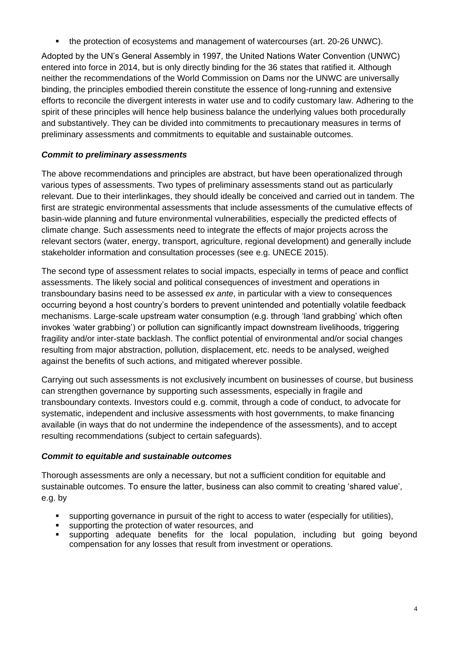• the protection of ecosystems and management of watercourses (art. 20-26 UNWC).

Adopted by the UN's General Assembly in 1997, the United Nations Water Convention (UNWC) entered into force in 2014, but is only directly binding for the 36 states that ratified it. Although neither the recommendations of the World Commission on Dams nor the UNWC are universally binding, the principles embodied therein constitute the essence of long-running and extensive efforts to reconcile the divergent interests in water use and to codify customary law. Adhering to the spirit of these principles will hence help business balance the underlying values both procedurally and substantively. They can be divided into commitments to precautionary measures in terms of preliminary assessments and commitments to equitable and sustainable outcomes.

#### *Commit to preliminary assessments*

The above recommendations and principles are abstract, but have been operationalized through various types of assessments. Two types of preliminary assessments stand out as particularly relevant. Due to their interlinkages, they should ideally be conceived and carried out in tandem. The first are strategic environmental assessments that include assessments of the cumulative effects of basin-wide planning and future environmental vulnerabilities, especially the predicted effects of climate change. Such assessments need to integrate the effects of major projects across the relevant sectors (water, energy, transport, agriculture, regional development) and generally include stakeholder information and consultation processes (see e.g. UNECE 2015).

The second type of assessment relates to social impacts, especially in terms of peace and conflict assessments. The likely social and political consequences of investment and operations in transboundary basins need to be assessed *ex ante*, in particular with a view to consequences occurring beyond a host country's borders to prevent unintended and potentially volatile feedback mechanisms. Large-scale upstream water consumption (e.g. through 'land grabbing' which often invokes 'water grabbing') or pollution can significantly impact downstream livelihoods, triggering fragility and/or inter-state backlash. The conflict potential of environmental and/or social changes resulting from major abstraction, pollution, displacement, etc. needs to be analysed, weighed against the benefits of such actions, and mitigated wherever possible.

Carrying out such assessments is not exclusively incumbent on businesses of course, but business can strengthen governance by supporting such assessments, especially in fragile and transboundary contexts. Investors could e.g. commit, through a code of conduct, to advocate for systematic, independent and inclusive assessments with host governments, to make financing available (in ways that do not undermine the independence of the assessments), and to accept resulting recommendations (subject to certain safeguards).

#### *Commit to equitable and sustainable outcomes*

Thorough assessments are only a necessary, but not a sufficient condition for equitable and sustainable outcomes. To ensure the latter, business can also commit to creating 'shared value', e.g. by

- supporting governance in pursuit of the right to access to water (especially for utilities),
- supporting the protection of water resources, and
- supporting adequate benefits for the local population, including but going beyond compensation for any losses that result from investment or operations.